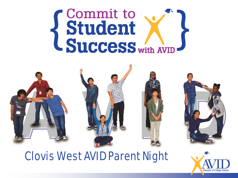# Student L Success with AVID





#### Clovis West AVID Parent Night

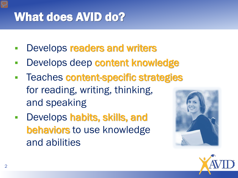# What does AVID do?

- Develops readers and writers
- Develops deep content knowledge
- Teaches content-specific strategies for reading, writing, thinking, and speaking
- **-** Develops habits, skills, and behaviors to use knowledge and abilities



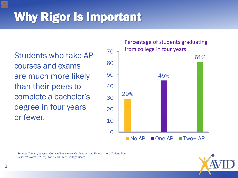# Why Rigor Is Important

Students who take AP courses and exams are much more likely than their peers to complete a bachelor's degree in four years or fewer.

 $\Omega$ 10 20 30 40 50 60 70 29% 45% 61% No AP One AP Two+ AP Percentage of students graduating from college in four years

**Source:** Camara, Wayne. College Persistence, Graduation, and Remediation*. College Board Research Notes (RN-19).* New York, NY: College Board.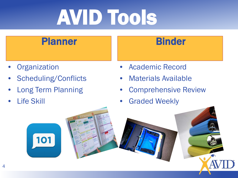# AVID Tools

#### Planner

- **Organization**
- Scheduling/Conflicts
- Long Term Planning

101

**Life Skill** 

#### Binder

- Academic Record
- Materials Available
- Comprehensive Review
- **Graded Weekly**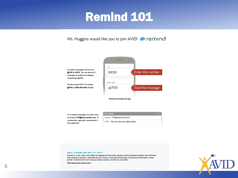### Remind 101





Or to receive messages via email, send an email to 7f20@mail.remind.com. To unsubscribe, reply with 'unsubscribe' in the subject line.



#### WHAT IS REMIND AND WHY IS IT SAFE?

Remind is a free, safe, and simple messaging tool that helps teachers share important updates and reminders with students & parents. Subscribe by text, email or using the Remind app. All personal information is kept private. Teachers will never see your phone number, nor will you see theirs.



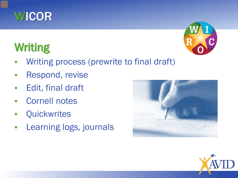

# **Writing**



- **Writing process (prewrite to final draft)**
- **Respond, revise**
- **Edit, final draft**
- Cornell notes
- **-** Quickwrites
- **Learning logs, journals**



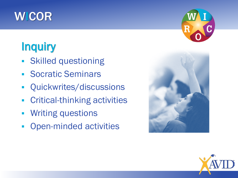## **WICOR**

# **Inquiry**

- Skilled questioning
- **Socratic Seminars**
- **-** Quickwrites/discussions
- **-** Critical-thinking activities
- **Writing questions**
- Open-minded activities





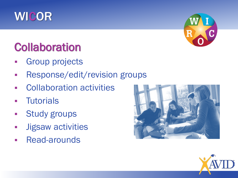

## **Collaboration**

- Group projects
- **Response/edit/revision groups**
- **EXECOLLADORATION ACTIVITIES**
- **Tutorials**
- **Study groups**
- **Jigsaw activities**
- **Read-arounds**





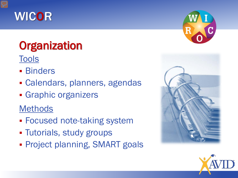

# **Organization**

**Tools** 

- **Binders**
- Calendars, planners, agendas
- **Graphic organizers**

Methods

- **Focused note-taking system**
- **Tutorials, study groups**
- **Project planning, SMART goals**





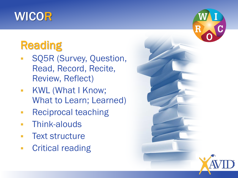### WICOR

# **Reading**

- SQ5R (Survey, Question, Read, Record, Recite, Review, Reflect)
- **KWL (What I Know;** What to Learn; Learned)
- **Reciprocal teaching**
- **Think-alouds**
- **-** Text structure
- **Critical reading**

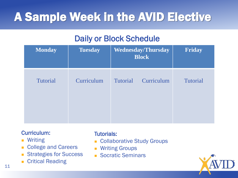# A Sample Week in the AVID Elective

#### Daily or Block Schedule

| <b>Monday</b>   | <b>Tuesday</b> |                 | <b>Wednesday/Thursday</b><br><b>Block</b> | Friday   |
|-----------------|----------------|-----------------|-------------------------------------------|----------|
| <b>Tutorial</b> | Curriculum     | <b>Tutorial</b> | Curriculum                                | Tutorial |

#### Curriculum:

- **Writing**
- **College and Careers**
- Strategies for Success
- **Critical Reading**

#### Tutorials:

- **Collaborative Study Groups**
- Writing Groups
- **Socratic Seminars**

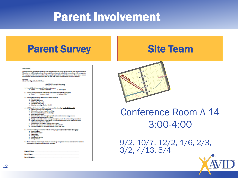### Parent Involvement

#### **Parent Survey No. 2018 Site Team**

#### **Tour Parents**

sa both inachors and parents we know how important it is for you in he involved in your child's advention.<br>Therefore we will be making it one of our goals for nont your to make better consentions with our parents. We want your child to be accounted and your participation is the lay to that account. Flower tries a minute and complete the following money on that we may plan create to better serve our AVID families.

Absorb)<br>Clash Viet Hab Adsol AVID Team

#### **AVID Parent Survey**

- 1. Insulation to have penet/to alter conferences **Business of presenting** a. News
- 6. Travel i like my student in participate in an alternatived interior program. a. News **In course of the A** a below must
- 8. The basi time through a stand AVD fundly countries
	-
	-
	- **The International Processing Selection**<br> **The School of Section**<br> **The School of Section**<br> **The School of Section**
	- **Education manufacture (hadism 12:00)**
- 4. AFE: Feely fresh I would be not interested in allegaling fainteal that and it Foreity would perform guitantings<br>Indo-mation on how to apply in college
	-
	- Presentation of CARACTER scholarships
	- itaaly differentiatog.<br>Internet adolphicher in help hop little sale on dim meth as myggana ann.
	-
	- Relating your material channel a might manifest copy in the service with your student<br>Tamby community contain an experimently for you in the service with your student<br>Contain in the containing community in the program of
	- absolutions from the district<br>Challenges of Al-Assocs, Whole Deal Credit:<br>New is help property part shift in the dark model of<br>New ing shawn of CWHs and making a fluor part plan
	-
	-
- 6. Investigate withing to relations with the AVID program labels all activities that apply!
	- **Grant Louisian**
	- **Die Steine Manden**
	- Paulining<br>Cologe Way
	- **Communities** Landing
	- **Inaugurute**

6. Because the any other way in which we could help our parent because more involved and delicomparied to one release and the AVEC program.

| Station's Name: https://www.com/communications.com/communications.com |  |  |
|-----------------------------------------------------------------------|--|--|
| <b>Cornel Signal Communication of the Communication</b>               |  |  |
|                                                                       |  |  |



#### Conference Room A 14 3:00-4:00

9/2, 10/7, 12/2, 1/6, 2/3, 3/2, 4/13, 5/4

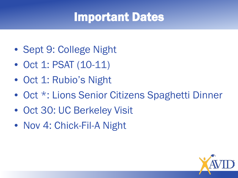### Important Dates

- Sept 9: College Night
- Oct 1: PSAT (10-11)
- Oct 1: Rubio's Night
- Oct \*: Lions Senior Citizens Spaghetti Dinner
- Oct 30: UC Berkeley Visit
- Nov 4: Chick-Fil-A Night

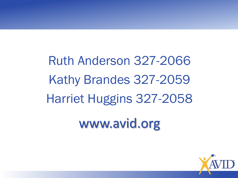Ruth Anderson 327-2066 Kathy Brandes 327-2059 Harriet Huggins 327-2058 www.avid.org